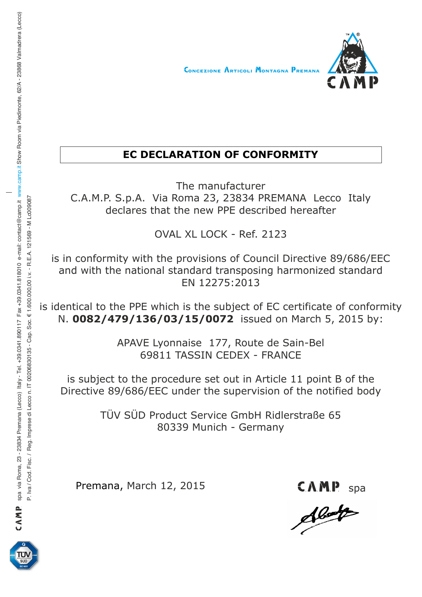

## **EC DECLARATION OF CONFORMITY**

The manufacturer C.A.M.P. S.p.A. Via Roma 23, 23834 PREMANA Lecco Italy declares that the new PPE described hereafter

OVAL XL LOCK - Ref. 2123

is in conformity with the provisions of Council Directive 89/686/EEC and with the national standard transposing harmonized standard EN 12275:2013

is identical to the PPE which is the subject of EC certificate of conformity N. **0082/479/136/03/15/0072** issued on March 5, 2015 by:

> APAVE Lyonnaise 177, Route de Sain-Bel 69811 TASSIN CEDEX - FRANCE

is subject to the procedure set out in Article 11 point B of the Directive 89/686/EEC under the supervision of the notified body

> TÜV SÜD Product Service GmbH Ridlerstraße 65 80339 Munich - Germany

Premana, March 12, 2015

CAMP<sub>s</sub>



CAN P spa via Roma, 23 - 23834 Premana (Lecco) Italy - Tel. +39.0341.890117 Fax +39.0341.818010 e-mail: contact@camp.it www.camp.it Show Room via Piedimonte, 62/A - 23868 Valmadrera (Lecco) CAMP spa via Roma, 23 - 23834 Premana (Lecco) Italy - Tel. +39.0341.890117 Fax +39.0341.818010 e-mail: contact@camp.it Show Room via Piedimonte, 62/A - 23868 Valmadrera (Lecco) www.camp.it P. Iva / Cod. Fisc. / Reg. Imprese di Lecco n. IT 00206830135 - Cap. Soc. € 1.600.000.00 i.v. - R.E.A. 121569 - M Lc009087 P. IVa Fisc. / Reg. In P. IV. - R. E.A. 121563 - Cap. Soc. € 1.6000,000,000 i. IT 0030 i.v. - R. E.A. 121569 - M Lod Vez. E.